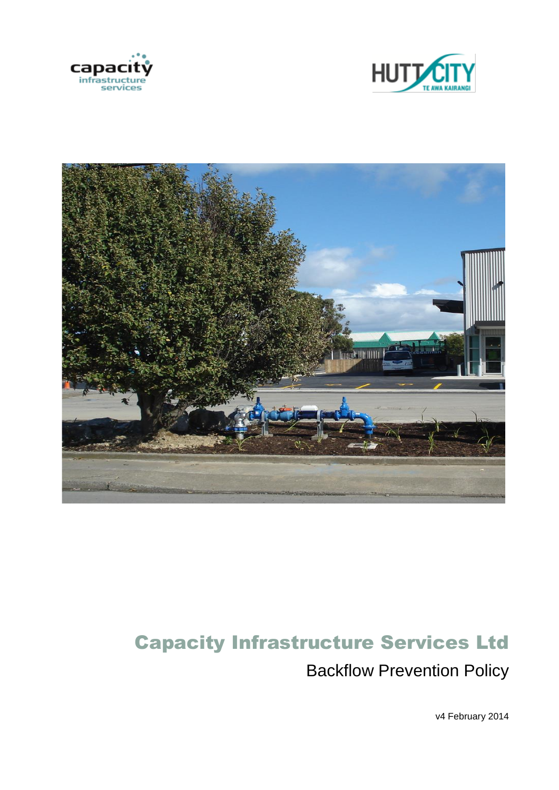





# Capacity Infrastructure Services Ltd Backflow Prevention Policy

v4 February 2014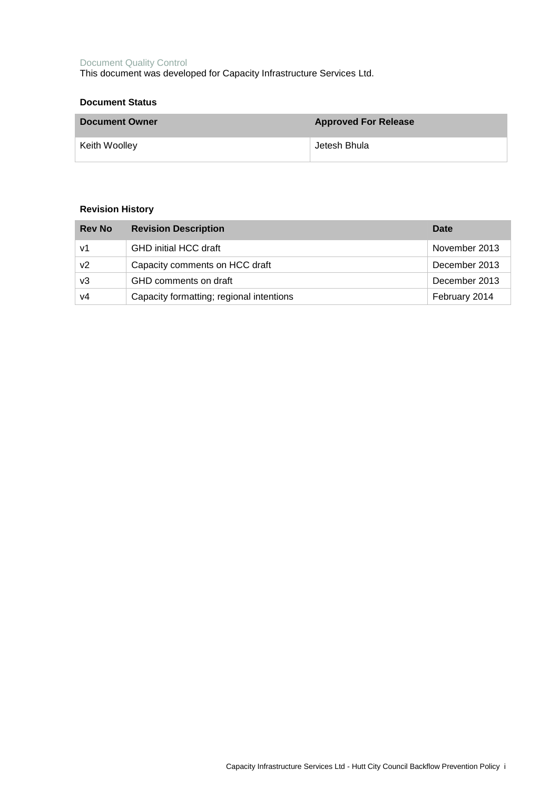#### Document Quality Control This document was developed for Capacity Infrastructure Services Ltd.

| <b>Document Status</b> |                             |
|------------------------|-----------------------------|
| <b>Document Owner</b>  | <b>Approved For Release</b> |
| Keith Woolley          | Jetesh Bhula                |

## **Revision History**

| <b>Rev No</b> | <b>Revision Description</b>              | Date          |
|---------------|------------------------------------------|---------------|
| v1            | <b>GHD initial HCC draft</b>             | November 2013 |
| v2            | Capacity comments on HCC draft           | December 2013 |
| v3            | GHD comments on draft                    | December 2013 |
| v4            | Capacity formatting; regional intentions | February 2014 |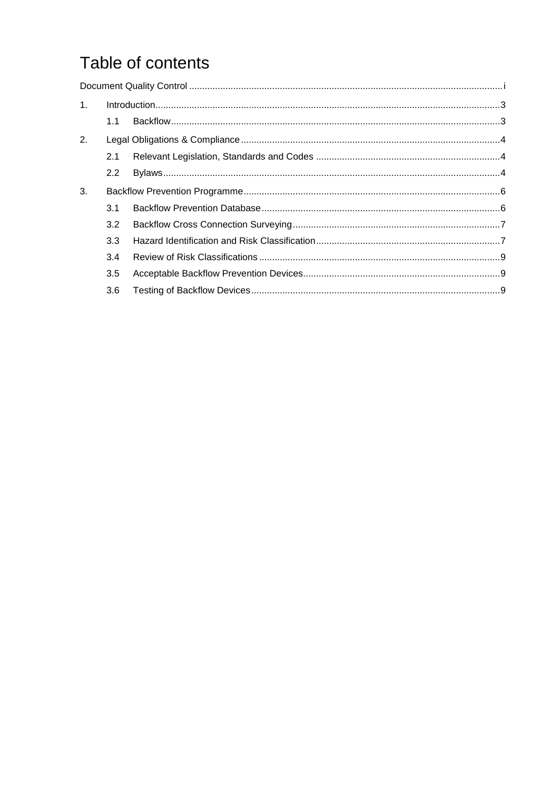## Table of contents

| 1. |               |  |
|----|---------------|--|
|    | 1.1           |  |
| 2. |               |  |
|    | 2.1           |  |
|    | $2.2^{\circ}$ |  |
| 3. |               |  |
|    | 3.1           |  |
|    | 3.2           |  |
|    | 3.3           |  |
|    | 3.4           |  |
|    | 3.5           |  |
|    | 3.6           |  |
|    |               |  |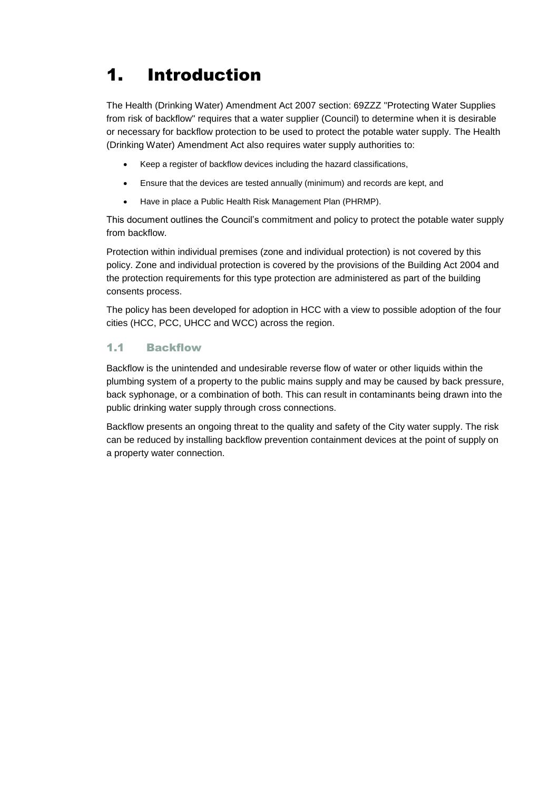## 1. Introduction

The Health (Drinking Water) Amendment Act 2007 section: 69ZZZ "Protecting Water Supplies from risk of backflow" requires that a water supplier (Council) to determine when it is desirable or necessary for backflow protection to be used to protect the potable water supply. The Health (Drinking Water) Amendment Act also requires water supply authorities to:

- Keep a register of backflow devices including the hazard classifications,
- Ensure that the devices are tested annually (minimum) and records are kept, and
- Have in place a Public Health Risk Management Plan (PHRMP).

This document outlines the Council's commitment and policy to protect the potable water supply from backflow.

Protection within individual premises (zone and individual protection) is not covered by this policy. Zone and individual protection is covered by the provisions of the Building Act 2004 and the protection requirements for this type protection are administered as part of the building consents process.

The policy has been developed for adoption in HCC with a view to possible adoption of the four cities (HCC, PCC, UHCC and WCC) across the region.

## 1.1 Backflow

Backflow is the unintended and undesirable reverse flow of water or other liquids within the plumbing system of a property to the public mains supply and may be caused by back pressure, back syphonage, or a combination of both. This can result in contaminants being drawn into the public drinking water supply through cross connections.

Backflow presents an ongoing threat to the quality and safety of the City water supply. The risk can be reduced by installing backflow prevention containment devices at the point of supply on a property water connection.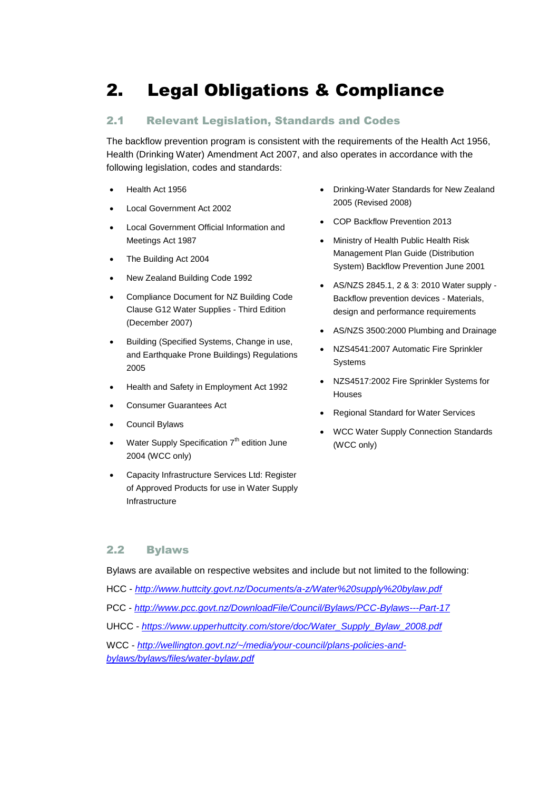## 2. Legal Obligations & Compliance

## 2.1 Relevant Legislation, Standards and Codes

The backflow prevention program is consistent with the requirements of the Health Act 1956, Health (Drinking Water) Amendment Act 2007, and also operates in accordance with the following legislation, codes and standards:

- Health Act 1956
- Local Government Act 2002
- Local Government Official Information and Meetings Act 1987
- The Building Act 2004
- New Zealand Building Code 1992
- Compliance Document for NZ Building Code Clause G12 Water Supplies - Third Edition (December 2007)
- Building (Specified Systems, Change in use, and Earthquake Prone Buildings) Regulations 2005
- Health and Safety in Employment Act 1992
- Consumer Guarantees Act
- Council Bylaws
- Water Supply Specification 7<sup>th</sup> edition June 2004 (WCC only)
- Capacity Infrastructure Services Ltd: Register of Approved Products for use in Water Supply Infrastructure
- Drinking-Water Standards for New Zealand 2005 (Revised 2008)
- COP Backflow Prevention 2013
- Ministry of Health Public Health Risk Management Plan Guide (Distribution System) Backflow Prevention June 2001
- AS/NZS 2845.1, 2 & 3: 2010 Water supply Backflow prevention devices - Materials, design and performance requirements
- AS/NZS 3500:2000 Plumbing and Drainage
- NZS4541:2007 Automatic Fire Sprinkler Systems
- NZS4517:2002 Fire Sprinkler Systems for Houses
- Regional Standard for Water Services
- WCC Water Supply Connection Standards (WCC only)

## 2.2 Bylaws

Bylaws are available on respective websites and include but not limited to the following:

- HCC *<http://www.huttcity.govt.nz/Documents/a-z/Water%20supply%20bylaw.pdf>*
- PCC *<http://www.pcc.govt.nz/DownloadFile/Council/Bylaws/PCC-Bylaws---Part-17>*
- UHCC *[https://www.upperhuttcity.com/store/doc/Water\\_Supply\\_Bylaw\\_2008.pdf](https://www.upperhuttcity.com/store/doc/Water_Supply_Bylaw_2008.pdf)*
- WCC *[http://wellington.govt.nz/~/media/your-council/plans-policies-and](http://wellington.govt.nz/~/media/your-council/plans-policies-and-bylaws/bylaws/files/water-bylaw.pdf)[bylaws/bylaws/files/water-bylaw.pdf](http://wellington.govt.nz/~/media/your-council/plans-policies-and-bylaws/bylaws/files/water-bylaw.pdf)*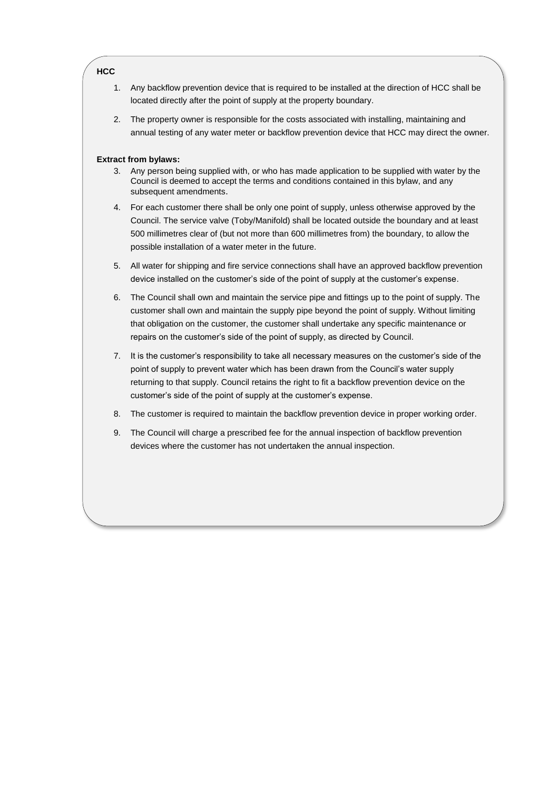#### **HCC**

- 1. Any backflow prevention device that is required to be installed at the direction of HCC shall be located directly after the point of supply at the property boundary.
- 2. The property owner is responsible for the costs associated with installing, maintaining and annual testing of any water meter or backflow prevention device that HCC may direct the owner.

#### **Extract from bylaws:**

- 3. Any person being supplied with, or who has made application to be supplied with water by the Council is deemed to accept the terms and conditions contained in this bylaw, and any subsequent amendments.
- 4. For each customer there shall be only one point of supply, unless otherwise approved by the Council. The service valve (Toby/Manifold) shall be located outside the boundary and at least 500 millimetres clear of (but not more than 600 millimetres from) the boundary, to allow the possible installation of a water meter in the future.
- 5. All water for shipping and fire service connections shall have an approved backflow prevention device installed on the customer's side of the point of supply at the customer's expense.
- 6. The Council shall own and maintain the service pipe and fittings up to the point of supply. The customer shall own and maintain the supply pipe beyond the point of supply. Without limiting that obligation on the customer, the customer shall undertake any specific maintenance or repairs on the customer's side of the point of supply, as directed by Council.
- 7. It is the customer's responsibility to take all necessary measures on the customer's side of the point of supply to prevent water which has been drawn from the Council's water supply returning to that supply. Council retains the right to fit a backflow prevention device on the customer's side of the point of supply at the customer's expense.
- 8. The customer is required to maintain the backflow prevention device in proper working order.
- 9. The Council will charge a prescribed fee for the annual inspection of backflow prevention devices where the customer has not undertaken the annual inspection.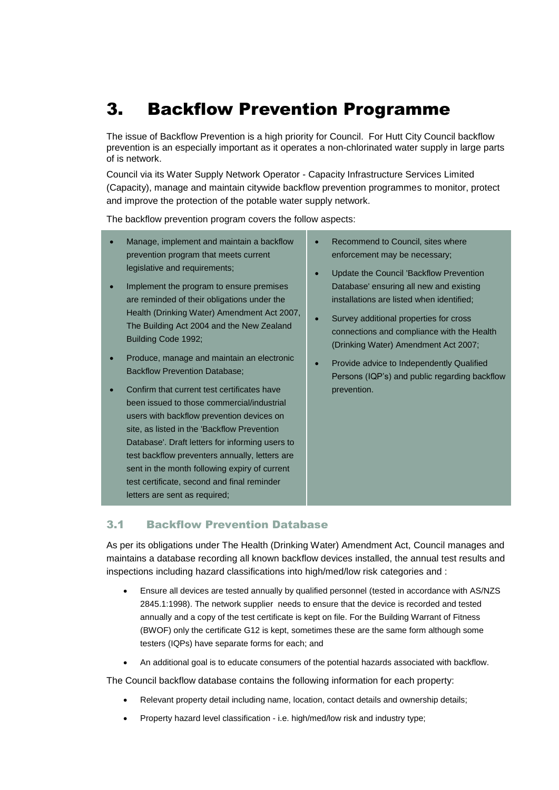## 3. Backflow Prevention Programme

The issue of Backflow Prevention is a high priority for Council. For Hutt City Council backflow prevention is an especially important as it operates a non-chlorinated water supply in large parts of is network.

Council via its Water Supply Network Operator - Capacity Infrastructure Services Limited (Capacity), manage and maintain citywide backflow prevention programmes to monitor, protect and improve the protection of the potable water supply network.

The backflow prevention program covers the follow aspects:

- Manage, implement and maintain a backflow prevention program that meets current legislative and requirements;
- Implement the program to ensure premises are reminded of their obligations under the Health (Drinking Water) Amendment Act 2007, The Building Act 2004 and the New Zealand Building Code 1992;
- Produce, manage and maintain an electronic Backflow Prevention Database;
- Confirm that current test certificates have been issued to those commercial/industrial users with backflow prevention devices on site, as listed in the 'Backflow Prevention Database'. Draft letters for informing users to test backflow preventers annually, letters are sent in the month following expiry of current test certificate, second and final reminder letters are sent as required;
- Recommend to Council, sites where enforcement may be necessary;
- Update the Council 'Backflow Prevention Database' ensuring all new and existing installations are listed when identified;
- Survey additional properties for cross connections and compliance with the Health (Drinking Water) Amendment Act 2007;
- Provide advice to Independently Qualified Persons (IQP's) and public regarding backflow prevention.

## 3.1 Backflow Prevention Database

As per its obligations under The Health (Drinking Water) Amendment Act, Council manages and maintains a database recording all known backflow devices installed, the annual test results and inspections including hazard classifications into high/med/low risk categories and :

- Ensure all devices are tested annually by qualified personnel (tested in accordance with AS/NZS 2845.1:1998). The network supplier needs to ensure that the device is recorded and tested annually and a copy of the test certificate is kept on file. For the Building Warrant of Fitness (BWOF) only the certificate G12 is kept, sometimes these are the same form although some testers (IQPs) have separate forms for each; and
- An additional goal is to educate consumers of the potential hazards associated with backflow.

The Council backflow database contains the following information for each property:

- Relevant property detail including name, location, contact details and ownership details;
- Property hazard level classification i.e. high/med/low risk and industry type;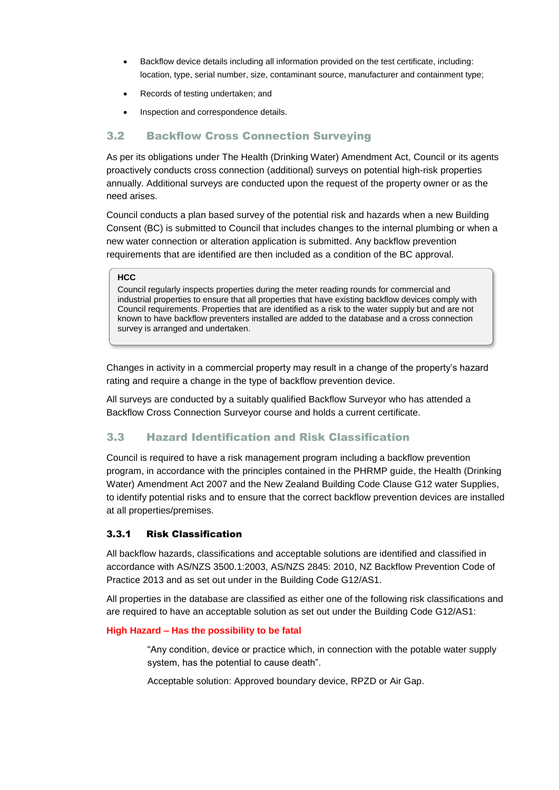- Backflow device details including all information provided on the test certificate, including: location, type, serial number, size, contaminant source, manufacturer and containment type;
- Records of testing undertaken; and
- Inspection and correspondence details.

## 3.2 Backflow Cross Connection Surveying

As per its obligations under The Health (Drinking Water) Amendment Act, Council or its agents proactively conducts cross connection (additional) surveys on potential high-risk properties annually. Additional surveys are conducted upon the request of the property owner or as the need arises.

Council conducts a plan based survey of the potential risk and hazards when a new Building Consent (BC) is submitted to Council that includes changes to the internal plumbing or when a new water connection or alteration application is submitted. Any backflow prevention requirements that are identified are then included as a condition of the BC approval.

#### **HCC**

Council regularly inspects properties during the meter reading rounds for commercial and industrial properties to ensure that all properties that have existing backflow devices comply with Council requirements. Properties that are identified as a risk to the water supply but and are not known to have backflow preventers installed are added to the database and a cross connection survey is arranged and undertaken.

Changes in activity in a commercial property may result in a change of the property's hazard rating and require a change in the type of backflow prevention device.

All surveys are conducted by a suitably qualified Backflow Surveyor who has attended a Backflow Cross Connection Surveyor course and holds a current certificate.

## 3.3 Hazard Identification and Risk Classification

Council is required to have a risk management program including a backflow prevention program, in accordance with the principles contained in the PHRMP guide, the Health (Drinking Water) Amendment Act 2007 and the New Zealand Building Code Clause G12 water Supplies, to identify potential risks and to ensure that the correct backflow prevention devices are installed at all properties/premises.

### 3.3.1 Risk Classification

All backflow hazards, classifications and acceptable solutions are identified and classified in accordance with AS/NZS 3500.1:2003, AS/NZS 2845: 2010, NZ Backflow Prevention Code of Practice 2013 and as set out under in the Building Code G12/AS1.

All properties in the database are classified as either one of the following risk classifications and are required to have an acceptable solution as set out under the Building Code G12/AS1:

### **High Hazard – Has the possibility to be fatal**

"Any condition, device or practice which, in connection with the potable water supply system, has the potential to cause death".

Acceptable solution: Approved boundary device, RPZD or Air Gap.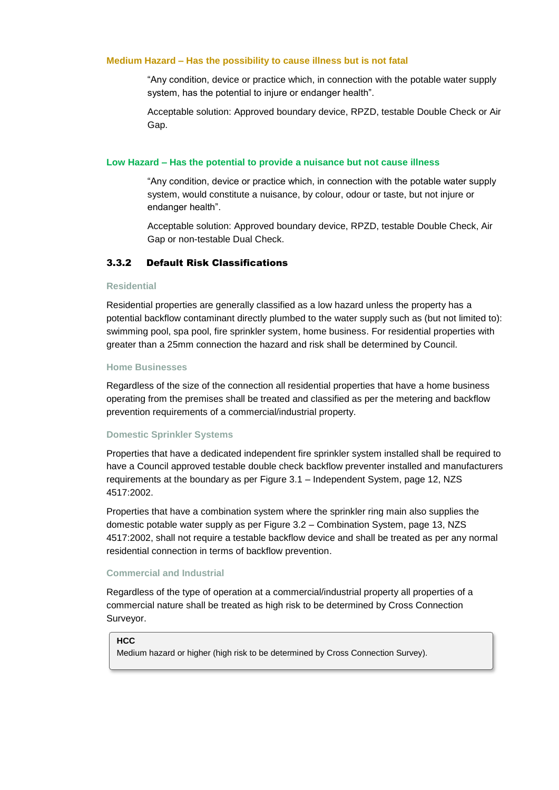#### **Medium Hazard – Has the possibility to cause illness but is not fatal**

"Any condition, device or practice which, in connection with the potable water supply system, has the potential to injure or endanger health".

Acceptable solution: Approved boundary device, RPZD, testable Double Check or Air Gap.

#### **Low Hazard – Has the potential to provide a nuisance but not cause illness**

"Any condition, device or practice which, in connection with the potable water supply system, would constitute a nuisance, by colour, odour or taste, but not injure or endanger health".

Acceptable solution: Approved boundary device, RPZD, testable Double Check, Air Gap or non-testable Dual Check.

## 3.3.2 Default Risk Classifications

#### **Residential**

Residential properties are generally classified as a low hazard unless the property has a potential backflow contaminant directly plumbed to the water supply such as (but not limited to): swimming pool, spa pool, fire sprinkler system, home business. For residential properties with greater than a 25mm connection the hazard and risk shall be determined by Council.

#### **Home Businesses**

Regardless of the size of the connection all residential properties that have a home business operating from the premises shall be treated and classified as per the metering and backflow prevention requirements of a commercial/industrial property.

#### **Domestic Sprinkler Systems**

Properties that have a dedicated independent fire sprinkler system installed shall be required to have a Council approved testable double check backflow preventer installed and manufacturers requirements at the boundary as per Figure 3.1 – Independent System, page 12, NZS 4517:2002.

Properties that have a combination system where the sprinkler ring main also supplies the domestic potable water supply as per Figure 3.2 – Combination System, page 13, NZS 4517:2002, shall not require a testable backflow device and shall be treated as per any normal residential connection in terms of backflow prevention.

#### **Commercial and Industrial**

Regardless of the type of operation at a commercial/industrial property all properties of a commercial nature shall be treated as high risk to be determined by Cross Connection Surveyor.

#### **HCC**

Medium hazard or higher (high risk to be determined by Cross Connection Survey).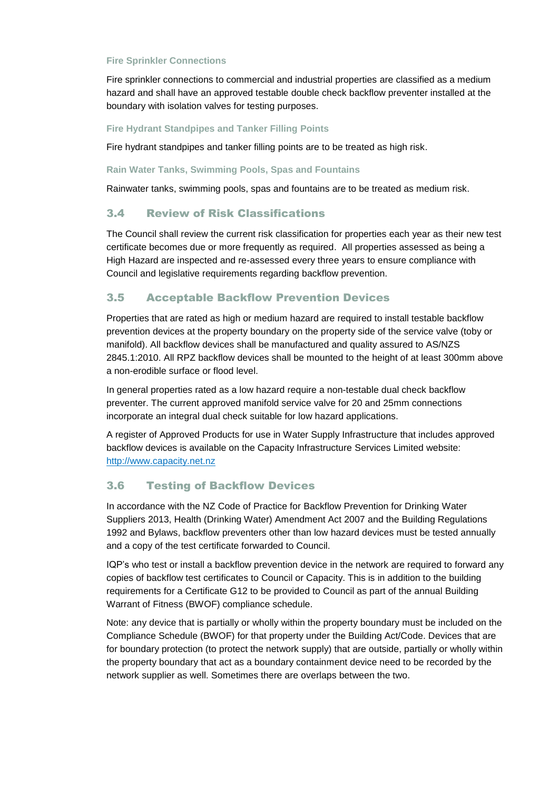### **Fire Sprinkler Connections**

Fire sprinkler connections to commercial and industrial properties are classified as a medium hazard and shall have an approved testable double check backflow preventer installed at the boundary with isolation valves for testing purposes.

#### **Fire Hydrant Standpipes and Tanker Filling Points**

Fire hydrant standpipes and tanker filling points are to be treated as high risk.

#### **Rain Water Tanks, Swimming Pools, Spas and Fountains**

Rainwater tanks, swimming pools, spas and fountains are to be treated as medium risk.

## 3.4 Review of Risk Classifications

The Council shall review the current risk classification for properties each year as their new test certificate becomes due or more frequently as required. All properties assessed as being a High Hazard are inspected and re-assessed every three years to ensure compliance with Council and legislative requirements regarding backflow prevention.

## 3.5 Acceptable Backflow Prevention Devices

Properties that are rated as high or medium hazard are required to install testable backflow prevention devices at the property boundary on the property side of the service valve (toby or manifold). All backflow devices shall be manufactured and quality assured to AS/NZS 2845.1:2010. All RPZ backflow devices shall be mounted to the height of at least 300mm above a non-erodible surface or flood level.

In general properties rated as a low hazard require a non-testable dual check backflow preventer. The current approved manifold service valve for 20 and 25mm connections incorporate an integral dual check suitable for low hazard applications.

A register of Approved Products for use in Water Supply Infrastructure that includes approved backflow devices is available on the Capacity Infrastructure Services Limited website: http://www.capacity.net.nz

## 3.6 Testing of Backflow Devices

In accordance with the NZ Code of Practice for Backflow Prevention for Drinking Water Suppliers 2013, Health (Drinking Water) Amendment Act 2007 and the Building Regulations 1992 and Bylaws, backflow preventers other than low hazard devices must be tested annually and a copy of the test certificate forwarded to Council.

IQP's who test or install a backflow prevention device in the network are required to forward any copies of backflow test certificates to Council or Capacity. This is in addition to the building requirements for a Certificate G12 to be provided to Council as part of the annual Building Warrant of Fitness (BWOF) compliance schedule.

Note: any device that is partially or wholly within the property boundary must be included on the Compliance Schedule (BWOF) for that property under the Building Act/Code. Devices that are for boundary protection (to protect the network supply) that are outside, partially or wholly within the property boundary that act as a boundary containment device need to be recorded by the network supplier as well. Sometimes there are overlaps between the two.